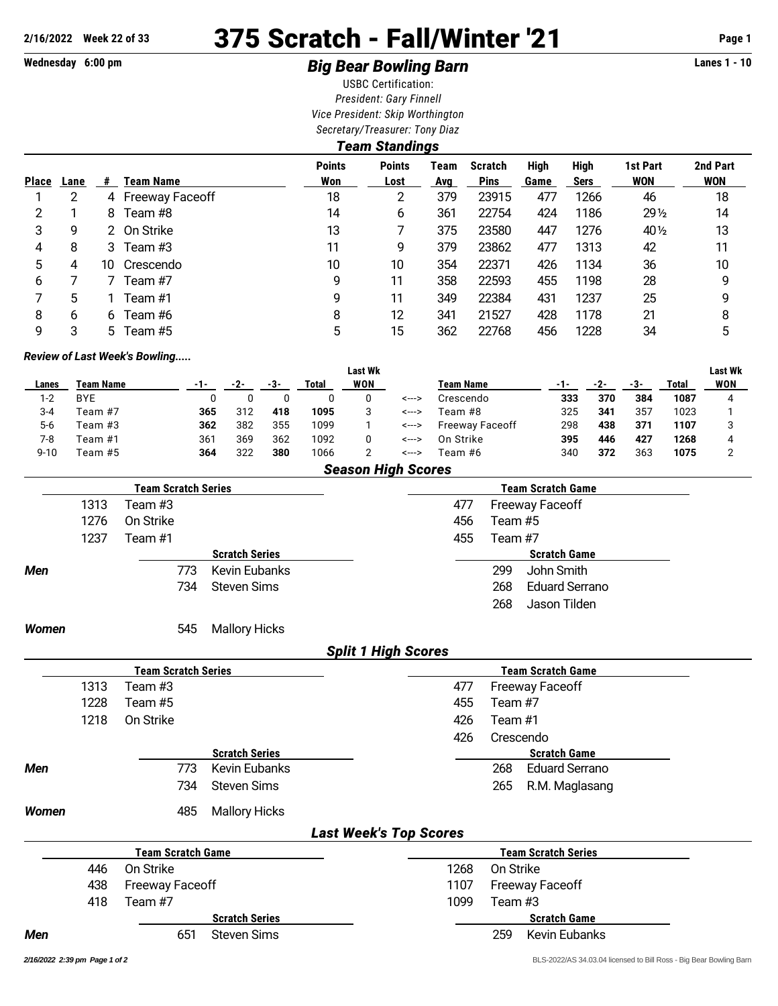# **2/16/2022 Week 22 of 33** 375 Scratch - Fall/Winter '21 **Page 1**

## **Wednesday 6:00 pm Big Bear Bowling Barn Lanes 1 - 10**

USBC Certification: *President: Gary Finnell Vice President: Skip Worthington Secretary/Treasurer: Tony Diaz*

| Team Standings |      |     |                   |                      |                       |             |                               |              |                     |                        |                        |  |  |
|----------------|------|-----|-------------------|----------------------|-----------------------|-------------|-------------------------------|--------------|---------------------|------------------------|------------------------|--|--|
| <b>Place</b>   | Lane | #   | <b>Team Name</b>  | <b>Points</b><br>Won | <b>Points</b><br>Lost | Team<br>Avg | <b>Scratch</b><br><b>Pins</b> | High<br>Game | High<br><b>Sers</b> | 1st Part<br><b>WON</b> | 2nd Part<br><b>WON</b> |  |  |
|                | 2    |     | 4 Freeway Faceoff | 18                   | $\overline{2}$        | 379         | 23915                         | 477          | 1266                | 46                     | 18                     |  |  |
| 2              |      | 8   | Team #8           | 14                   | 6                     | 361         | 22754                         | 424          | 1186                | $29\frac{1}{2}$        | 14                     |  |  |
| 3              | 9    |     | 2 On Strike       | 13                   |                       | 375         | 23580                         | 447          | 1276                | 40 $\frac{1}{2}$       | 13                     |  |  |
| 4              | 8    | 3   | Team #3           | 11                   | 9                     | 379         | 23862                         | 477          | 1313                | 42                     | 11                     |  |  |
| 5              | 4    | 10. | Crescendo         | 10                   | 10                    | 354         | 22371                         | 426          | 1134                | 36                     | 10                     |  |  |
| 6              |      |     | Team #7           | 9                    | 11                    | 358         | 22593                         | 455          | 1198                | 28                     | 9                      |  |  |
|                | 5    |     | Team #1           | 9                    | 11                    | 349         | 22384                         | 431          | 1237                | 25                     | 9                      |  |  |
| 8              | 6    | 6   | Team #6           | 8                    | 12                    | 341         | 21527                         | 428          | 1178                | 21                     | 8                      |  |  |
| 9              | 3    | 5.  | Team #5           | 5                    | 15                    | 362         | 22768                         | 456          | 1228                | 34                     | 5                      |  |  |

#### *Review of Last Week's Bowling.....*

|          |                  |     |     |     |        | <b>Last Wk</b> |         |                        |     |     |     |       | <b>Last Wk</b> |
|----------|------------------|-----|-----|-----|--------|----------------|---------|------------------------|-----|-----|-----|-------|----------------|
| Lanes    | <b>Team Name</b> | -1- | -2- | -3- | Total  | WON            |         | <b>Team Name</b>       |     |     | -3- | Total | WON            |
| $1 - 2$  | <b>BYE</b>       |     |     |     |        |                | <--->   | Crescendo              | 333 | 370 | 384 | 1087  |                |
| 3-4      | Team #7          | 365 | 312 | 418 | 1095   |                | <--->   | Team #8                | 325 | 341 | 357 | 1023  |                |
| $5-6$    | Team #3          | 362 | 382 | 355 | 1099   |                | <--->   | <b>Freeway Faceoff</b> | 298 | 438 | 371 | 1107  |                |
| 7-8      | Team #1          | 361 | 369 | 362 | 1092   |                | <--->   | On Strike              | 395 | 446 | 427 | 1268  |                |
| $9 - 10$ | Team #5          | 364 | 322 | 380 | 1066   |                | <--->   | Team #6                | 340 | 372 | 363 | 1075  |                |
|          |                  |     |     |     | $\sim$ |                | --- - - |                        |     |     |     |       |                |

| <b>Season High Scores</b> |  |  |
|---------------------------|--|--|
|---------------------------|--|--|

|            |      | <b>Team Scratch Series</b> |                       |                            | Team Scratch Game |                              |  |  |  |  |  |
|------------|------|----------------------------|-----------------------|----------------------------|-------------------|------------------------------|--|--|--|--|--|
|            | 1313 | Team #3                    |                       | 477                        |                   | <b>Freeway Faceoff</b>       |  |  |  |  |  |
|            | 1276 | On Strike                  |                       | 456                        |                   | Team #5                      |  |  |  |  |  |
|            | 1237 | Team #1                    |                       |                            | 455<br>Team #7    |                              |  |  |  |  |  |
|            |      |                            | <b>Scratch Series</b> |                            |                   | <b>Scratch Game</b>          |  |  |  |  |  |
| <b>Men</b> |      | 773                        | Kevin Eubanks         |                            |                   | John Smith<br>299            |  |  |  |  |  |
|            |      | 734                        | <b>Steven Sims</b>    |                            |                   | <b>Eduard Serrano</b><br>268 |  |  |  |  |  |
|            |      |                            |                       |                            |                   | 268<br>Jason Tilden          |  |  |  |  |  |
| Women      |      | 545                        | <b>Mallory Hicks</b>  |                            |                   |                              |  |  |  |  |  |
|            |      |                            |                       | <b>Split 1 High Scores</b> |                   |                              |  |  |  |  |  |

|              |      | <b>Team Scratch Series</b> |                       | <b>Team Scratch Game</b>       |
|--------------|------|----------------------------|-----------------------|--------------------------------|
|              | 1313 | Team #3                    |                       | 477<br><b>Freeway Faceoff</b>  |
|              | 1228 | Team #5                    |                       | 455<br>Team #7                 |
|              | 1218 | On Strike                  |                       | 426<br>Team #1                 |
|              |      |                            |                       | 426<br>Crescendo               |
|              |      |                            | <b>Scratch Series</b> | <b>Scratch Game</b>            |
| <b>Men</b>   |      | 773                        | <b>Kevin Eubanks</b>  | 268<br><b>Eduard Serrano</b>   |
|              |      | 734                        | <b>Steven Sims</b>    | 265<br>R.M. Maglasang          |
| <b>Women</b> |      | 485                        | <b>Mallory Hicks</b>  |                                |
|              |      |                            |                       | <b>Last Week's Top Scores</b>  |
|              |      | <b>Team Scratch Game</b>   |                       | <b>Team Scratch Series</b>     |
|              | 446  | On Strike                  |                       | 1268<br>On Strike              |
|              | 438  | <b>Freeway Faceoff</b>     |                       | 1107<br><b>Freeway Faceoff</b> |
|              | 418  | Team #7                    |                       | 1099<br>Team #3                |

**Scratch Series Scratch Game**

**Men** 651 Steven Sims 259 Kevin Eubanks